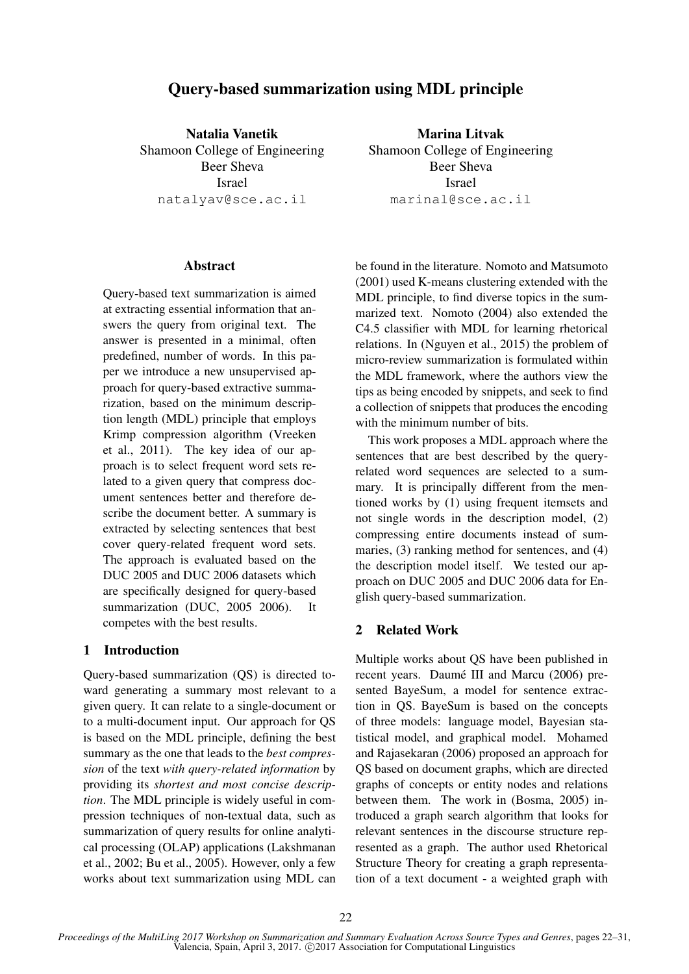# Query-based summarization using MDL principle

Natalia Vanetik Shamoon College of Engineering Beer Sheva Israel natalyav@sce.ac.il

## Abstract

Query-based text summarization is aimed at extracting essential information that answers the query from original text. The answer is presented in a minimal, often predefined, number of words. In this paper we introduce a new unsupervised approach for query-based extractive summarization, based on the minimum description length (MDL) principle that employs Krimp compression algorithm (Vreeken et al., 2011). The key idea of our approach is to select frequent word sets related to a given query that compress document sentences better and therefore describe the document better. A summary is extracted by selecting sentences that best cover query-related frequent word sets. The approach is evaluated based on the DUC 2005 and DUC 2006 datasets which are specifically designed for query-based summarization (DUC, 2005 2006). It competes with the best results.

## 1 Introduction

Query-based summarization (QS) is directed toward generating a summary most relevant to a given query. It can relate to a single-document or to a multi-document input. Our approach for QS is based on the MDL principle, defining the best summary as the one that leads to the *best compression* of the text *with query-related information* by providing its *shortest and most concise description*. The MDL principle is widely useful in compression techniques of non-textual data, such as summarization of query results for online analytical processing (OLAP) applications (Lakshmanan et al., 2002; Bu et al., 2005). However, only a few works about text summarization using MDL can

Marina Litvak Shamoon College of Engineering Beer Sheva Israel marinal@sce.ac.il

be found in the literature. Nomoto and Matsumoto (2001) used K-means clustering extended with the MDL principle, to find diverse topics in the summarized text. Nomoto (2004) also extended the C4.5 classifier with MDL for learning rhetorical relations. In (Nguyen et al., 2015) the problem of micro-review summarization is formulated within the MDL framework, where the authors view the tips as being encoded by snippets, and seek to find a collection of snippets that produces the encoding with the minimum number of bits.

This work proposes a MDL approach where the sentences that are best described by the queryrelated word sequences are selected to a summary. It is principally different from the mentioned works by (1) using frequent itemsets and not single words in the description model, (2) compressing entire documents instead of summaries, (3) ranking method for sentences, and (4) the description model itself. We tested our approach on DUC 2005 and DUC 2006 data for English query-based summarization.

## 2 Related Work

Multiple works about QS have been published in recent years. Daumé III and Marcu (2006) presented BayeSum, a model for sentence extraction in QS. BayeSum is based on the concepts of three models: language model, Bayesian statistical model, and graphical model. Mohamed and Rajasekaran (2006) proposed an approach for QS based on document graphs, which are directed graphs of concepts or entity nodes and relations between them. The work in (Bosma, 2005) introduced a graph search algorithm that looks for relevant sentences in the discourse structure represented as a graph. The author used Rhetorical Structure Theory for creating a graph representation of a text document - a weighted graph with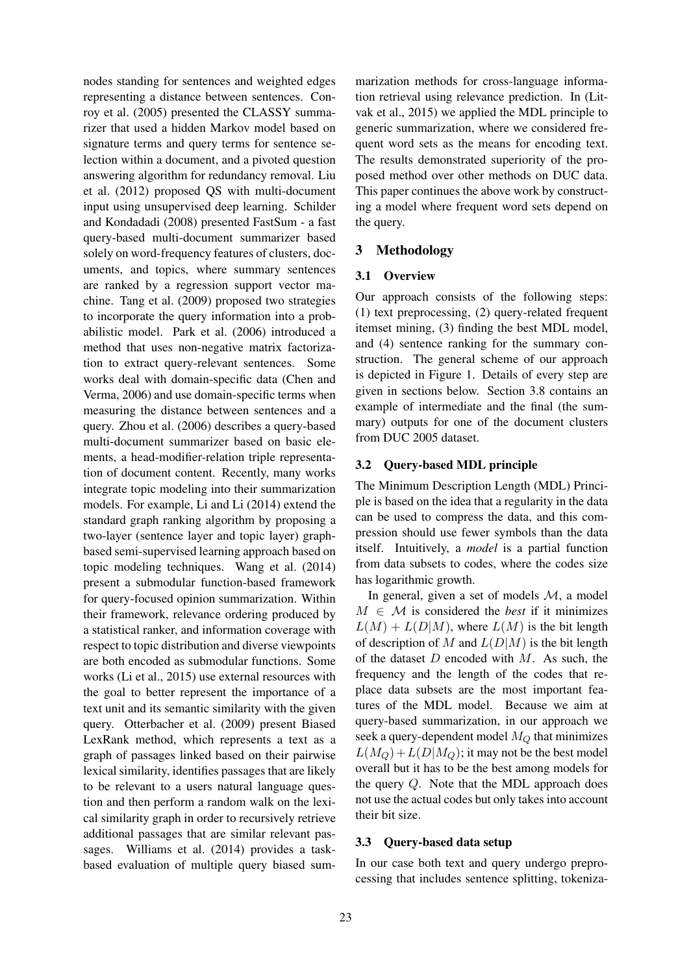nodes standing for sentences and weighted edges representing a distance between sentences. Conroy et al. (2005) presented the CLASSY summarizer that used a hidden Markov model based on signature terms and query terms for sentence selection within a document, and a pivoted question answering algorithm for redundancy removal. Liu et al. (2012) proposed QS with multi-document input using unsupervised deep learning. Schilder and Kondadadi (2008) presented FastSum - a fast query-based multi-document summarizer based solely on word-frequency features of clusters, documents, and topics, where summary sentences are ranked by a regression support vector machine. Tang et al. (2009) proposed two strategies to incorporate the query information into a probabilistic model. Park et al. (2006) introduced a method that uses non-negative matrix factorization to extract query-relevant sentences. Some works deal with domain-specific data (Chen and Verma, 2006) and use domain-specific terms when measuring the distance between sentences and a query. Zhou et al. (2006) describes a query-based multi-document summarizer based on basic elements, a head-modifier-relation triple representation of document content. Recently, many works integrate topic modeling into their summarization models. For example, Li and Li (2014) extend the standard graph ranking algorithm by proposing a two-layer (sentence layer and topic layer) graphbased semi-supervised learning approach based on topic modeling techniques. Wang et al. (2014) present a submodular function-based framework for query-focused opinion summarization. Within their framework, relevance ordering produced by a statistical ranker, and information coverage with respect to topic distribution and diverse viewpoints are both encoded as submodular functions. Some works (Li et al., 2015) use external resources with the goal to better represent the importance of a text unit and its semantic similarity with the given query. Otterbacher et al. (2009) present Biased LexRank method, which represents a text as a graph of passages linked based on their pairwise lexical similarity, identifies passages that are likely to be relevant to a users natural language question and then perform a random walk on the lexical similarity graph in order to recursively retrieve additional passages that are similar relevant passages. Williams et al. (2014) provides a taskbased evaluation of multiple query biased sum-

marization methods for cross-language information retrieval using relevance prediction. In (Litvak et al., 2015) we applied the MDL principle to generic summarization, where we considered frequent word sets as the means for encoding text. The results demonstrated superiority of the proposed method over other methods on DUC data. This paper continues the above work by constructing a model where frequent word sets depend on the query.

## 3 Methodology

### 3.1 Overview

Our approach consists of the following steps: (1) text preprocessing, (2) query-related frequent itemset mining, (3) finding the best MDL model, and (4) sentence ranking for the summary construction. The general scheme of our approach is depicted in Figure 1. Details of every step are given in sections below. Section 3.8 contains an example of intermediate and the final (the summary) outputs for one of the document clusters from DUC 2005 dataset.

#### 3.2 Query-based MDL principle

The Minimum Description Length (MDL) Principle is based on the idea that a regularity in the data can be used to compress the data, and this compression should use fewer symbols than the data itself. Intuitively, a *model* is a partial function from data subsets to codes, where the codes size has logarithmic growth.

In general, given a set of models  $M$ , a model  $M \in \mathcal{M}$  is considered the *best* if it minimizes  $L(M) + L(D|M)$ , where  $L(M)$  is the bit length of description of M and  $L(D|M)$  is the bit length of the dataset  $D$  encoded with  $M$ . As such, the frequency and the length of the codes that replace data subsets are the most important features of the MDL model. Because we aim at query-based summarization, in our approach we seek a query-dependent model  $M_Q$  that minimizes  $L(M_O) + L(D|M_O)$ ; it may not be the best model overall but it has to be the best among models for the query Q. Note that the MDL approach does not use the actual codes but only takes into account their bit size.

### 3.3 Query-based data setup

In our case both text and query undergo preprocessing that includes sentence splitting, tokeniza-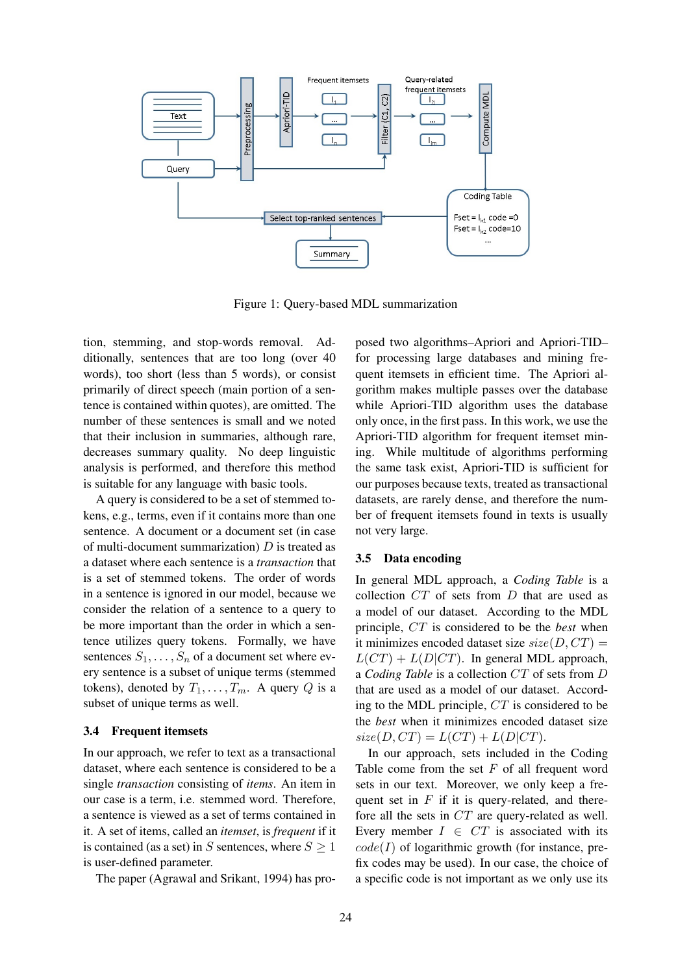

Figure 1: Query-based MDL summarization

tion, stemming, and stop-words removal. Additionally, sentences that are too long (over 40 words), too short (less than 5 words), or consist primarily of direct speech (main portion of a sentence is contained within quotes), are omitted. The number of these sentences is small and we noted that their inclusion in summaries, although rare, decreases summary quality. No deep linguistic analysis is performed, and therefore this method is suitable for any language with basic tools.

A query is considered to be a set of stemmed tokens, e.g., terms, even if it contains more than one sentence. A document or a document set (in case of multi-document summarization)  $D$  is treated as a dataset where each sentence is a *transaction* that is a set of stemmed tokens. The order of words in a sentence is ignored in our model, because we consider the relation of a sentence to a query to be more important than the order in which a sentence utilizes query tokens. Formally, we have sentences  $S_1, \ldots, S_n$  of a document set where every sentence is a subset of unique terms (stemmed tokens), denoted by  $T_1, \ldots, T_m$ . A query Q is a subset of unique terms as well.

#### 3.4 Frequent itemsets

In our approach, we refer to text as a transactional dataset, where each sentence is considered to be a single *transaction* consisting of *items*. An item in our case is a term, i.e. stemmed word. Therefore, a sentence is viewed as a set of terms contained in it. A set of items, called an *itemset*, is *frequent* if it is contained (as a set) in S sentences, where  $S \geq 1$ is user-defined parameter.

The paper (Agrawal and Srikant, 1994) has pro-

posed two algorithms–Apriori and Apriori-TID– for processing large databases and mining frequent itemsets in efficient time. The Apriori algorithm makes multiple passes over the database while Apriori-TID algorithm uses the database only once, in the first pass. In this work, we use the Apriori-TID algorithm for frequent itemset mining. While multitude of algorithms performing the same task exist, Apriori-TID is sufficient for our purposes because texts, treated as transactional datasets, are rarely dense, and therefore the number of frequent itemsets found in texts is usually not very large.

#### 3.5 Data encoding

In general MDL approach, a *Coding Table* is a collection CT of sets from D that are used as a model of our dataset. According to the MDL principle, CT is considered to be the *best* when it minimizes encoded dataset size  $size(D, CT)$  =  $L(CT) + L(D|CT)$ . In general MDL approach, a *Coding Table* is a collection CT of sets from D that are used as a model of our dataset. According to the MDL principle, CT is considered to be the *best* when it minimizes encoded dataset size  $size(D,CT) = L(CT) + L(D|CT).$ 

In our approach, sets included in the Coding Table come from the set  $F$  of all frequent word sets in our text. Moreover, we only keep a frequent set in  $F$  if it is query-related, and therefore all the sets in CT are query-related as well. Every member  $I \in CT$  is associated with its  $code(I)$  of logarithmic growth (for instance, prefix codes may be used). In our case, the choice of a specific code is not important as we only use its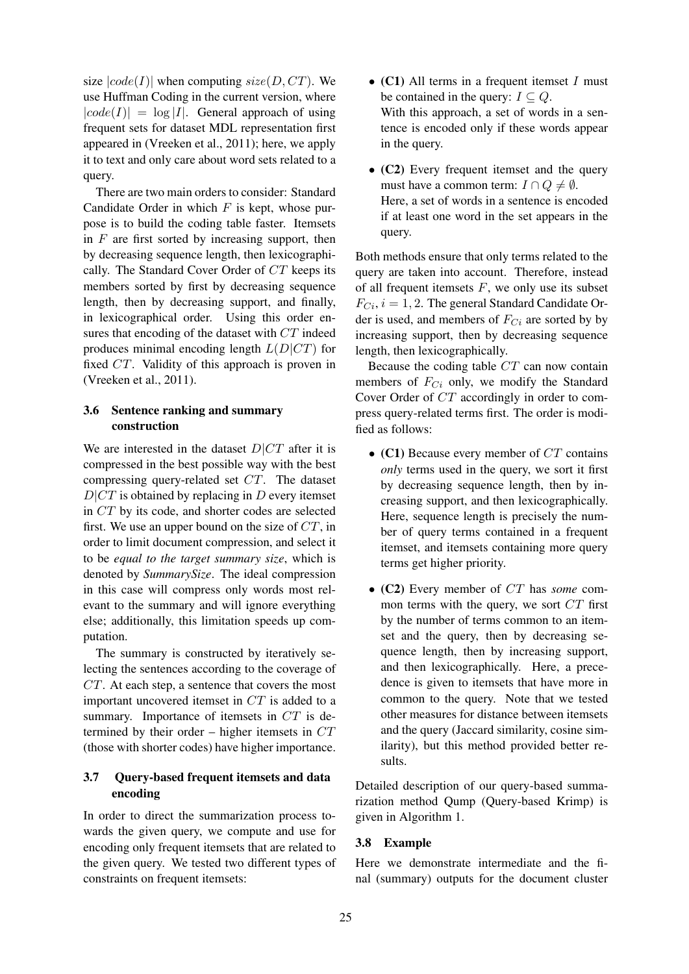size  $|code(I)|$  when computing  $size(D, CT)$ . We use Huffman Coding in the current version, where  $|code(I)| = log |I|$ . General approach of using frequent sets for dataset MDL representation first appeared in (Vreeken et al., 2011); here, we apply it to text and only care about word sets related to a query.

There are two main orders to consider: Standard Candidate Order in which  $F$  is kept, whose purpose is to build the coding table faster. Itemsets in  $F$  are first sorted by increasing support, then by decreasing sequence length, then lexicographically. The Standard Cover Order of CT keeps its members sorted by first by decreasing sequence length, then by decreasing support, and finally, in lexicographical order. Using this order ensures that encoding of the dataset with CT indeed produces minimal encoding length  $L(D|CT)$  for fixed CT. Validity of this approach is proven in (Vreeken et al., 2011).

## 3.6 Sentence ranking and summary construction

We are interested in the dataset  $D|CT$  after it is compressed in the best possible way with the best compressing query-related set CT. The dataset  $D|CT$  is obtained by replacing in D every itemset in CT by its code, and shorter codes are selected first. We use an upper bound on the size of  $CT$ , in order to limit document compression, and select it to be *equal to the target summary size*, which is denoted by *SummarySize*. The ideal compression in this case will compress only words most relevant to the summary and will ignore everything else; additionally, this limitation speeds up computation.

The summary is constructed by iteratively selecting the sentences according to the coverage of CT. At each step, a sentence that covers the most important uncovered itemset in CT is added to a summary. Importance of itemsets in CT is determined by their order – higher itemsets in  $CT$ (those with shorter codes) have higher importance.

## 3.7 Query-based frequent itemsets and data encoding

In order to direct the summarization process towards the given query, we compute and use for encoding only frequent itemsets that are related to the given query. We tested two different types of constraints on frequent itemsets:

- (C1) All terms in a frequent itemset  $I$  must be contained in the query:  $I \subseteq Q$ . With this approach, a set of words in a sentence is encoded only if these words appear in the query.
- (C2) Every frequent itemset and the query must have a common term:  $I \cap Q \neq \emptyset$ . Here, a set of words in a sentence is encoded if at least one word in the set appears in the query.

Both methods ensure that only terms related to the query are taken into account. Therefore, instead of all frequent itemsets  $F$ , we only use its subset  $F_{Ci}$ ,  $i = 1, 2$ . The general Standard Candidate Order is used, and members of  $F_{Ci}$  are sorted by by increasing support, then by decreasing sequence length, then lexicographically.

Because the coding table CT can now contain members of  $F_{Ci}$  only, we modify the Standard Cover Order of CT accordingly in order to compress query-related terms first. The order is modified as follows:

- (C1) Because every member of  $CT$  contains *only* terms used in the query, we sort it first by decreasing sequence length, then by increasing support, and then lexicographically. Here, sequence length is precisely the number of query terms contained in a frequent itemset, and itemsets containing more query terms get higher priority.
- (C2) Every member of CT has *some* common terms with the query, we sort  $CT$  first by the number of terms common to an itemset and the query, then by decreasing sequence length, then by increasing support, and then lexicographically. Here, a precedence is given to itemsets that have more in common to the query. Note that we tested other measures for distance between itemsets and the query (Jaccard similarity, cosine similarity), but this method provided better results.

Detailed description of our query-based summarization method Qump (Query-based Krimp) is given in Algorithm 1.

## 3.8 Example

Here we demonstrate intermediate and the final (summary) outputs for the document cluster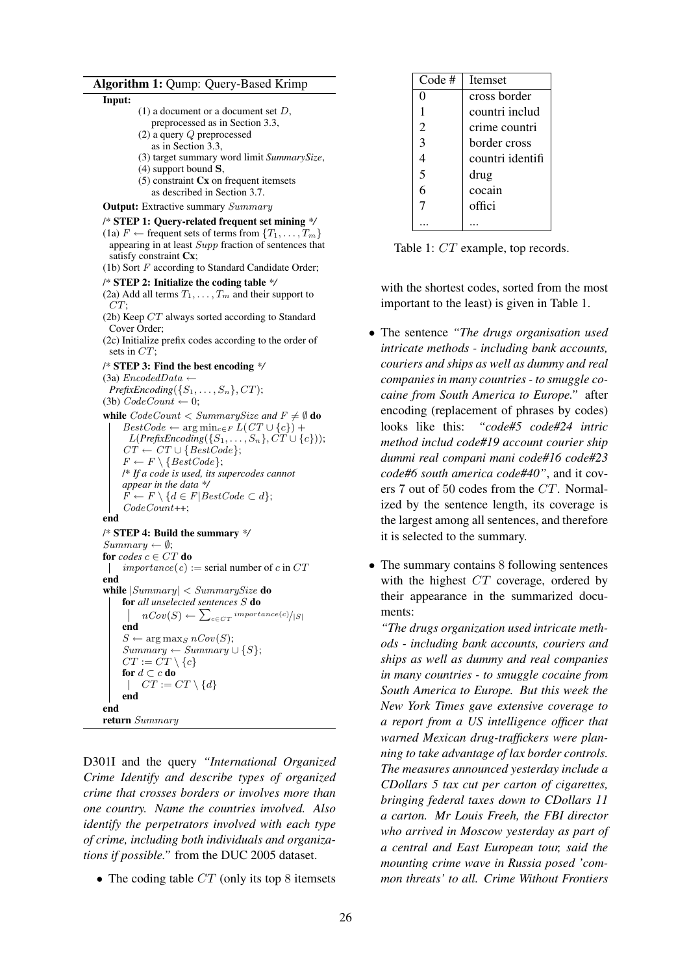#### Algorithm 1: Qump: Query-Based Krimp

#### Input:

- (1) a document or a document set D,
- preprocessed as in Section 3.3,
- (2) a query Q preprocessed as in Section 3.3,
- (3) target summary word limit *SummarySize*,
- (4) support bound S,
- $(5)$  constraint  $Cx$  on frequent itemsets as described in Section 3.7.

**Output:** Extractive summary Summary

### /\* STEP 1: Query-related frequent set mining *\*/*

- (1a)  $F \leftarrow$  frequent sets of terms from  $\{T_1, \ldots, T_m\}$ appearing in at least Supp fraction of sentences that satisfy constraint Cx;
- (1b) Sort  $F$  according to Standard Candidate Order;

/\* STEP 2: Initialize the coding table *\*/*

(2a) Add all terms  $T_1, \ldots, T_m$  and their support to  $CT:$ 

- (2b) Keep CT always sorted according to Standard Cover Order;
- (2c) Initialize prefix codes according to the order of sets in CT;

/\* STEP 3: Find the best encoding *\*/*

(3a)  $EncoderdData \leftarrow$  $PrefixEncoding({S_1, \ldots, S_n}, CT);$ (3b)  $CodeCount \leftarrow 0$ ;

while  $CodeCount < SummarySize$  and  $F \neq \emptyset$  do  $BestCode \leftarrow \arg\min_{c \in F} L(CT \cup \{c\}) +$  $L(PrefixEncoding({S_1, \ldots, S_n}, CT \cup \{c\}));$  $CT \leftarrow CT \cup \{BestCode\};$  $F \leftarrow F \setminus \{BestCode\};$ /\* *If a code is used, its supercodes cannot appear in the data \*/*  $F \leftarrow F \setminus \{d \in F | BestCode \subset d\};$ CodeCount++;

#### end

/\* STEP 4: Build the summary *\*/*  $Summary \leftarrow \emptyset;$ for  $codes \ c \in CT$  do | importance(c) := serial number of c in  $CT$ end while  $|Summary| < SummarySize$  do for *all unselected sentences* S do  $nCov(S) \leftarrow \sum_{c \in CT} {importance(c)}/{|S|}$ end  $S \leftarrow \arg \max_{S} nCov(S);$  $Summary \leftarrow Summary \cup \{S\};$  $CT := \check{CT} \setminus \{c\}$ for  $d \subset c$  do  $\left\vert \quad CT := CT \setminus \{d\} \right\vert$ end end return Summary

D301I and the query *"International Organized Crime Identify and describe types of organized crime that crosses borders or involves more than one country. Name the countries involved. Also identify the perpetrators involved with each type of crime, including both individuals and organizations if possible."* from the DUC 2005 dataset.

• The coding table  $CT$  (only its top 8 itemsets

| Code #         | <b>I</b> temset  |
|----------------|------------------|
| 0              | cross border     |
|                | countri includ   |
| $\overline{2}$ | crime countri    |
| 3              | border cross     |
| 4              | countri identifi |
| 5              | drug             |
| 6              | cocain           |
| 7              | offici           |
|                |                  |

Table 1: CT example, top records.

with the shortest codes, sorted from the most important to the least) is given in Table 1.

- The sentence *"The drugs organisation used intricate methods - including bank accounts, couriers and ships as well as dummy and real companies in many countries - to smuggle cocaine from South America to Europe."* after encoding (replacement of phrases by codes) looks like this: *"code#5 code#24 intric method includ code#19 account courier ship dummi real compani mani code#16 code#23 code#6 south america code#40"*, and it covers 7 out of 50 codes from the CT. Normalized by the sentence length, its coverage is the largest among all sentences, and therefore it is selected to the summary.
- The summary contains 8 following sentences with the highest CT coverage, ordered by their appearance in the summarized documents:

*"The drugs organization used intricate methods - including bank accounts, couriers and ships as well as dummy and real companies in many countries - to smuggle cocaine from South America to Europe. But this week the New York Times gave extensive coverage to a report from a US intelligence officer that warned Mexican drug-traffickers were planning to take advantage of lax border controls. The measures announced yesterday include a CDollars 5 tax cut per carton of cigarettes, bringing federal taxes down to CDollars 11 a carton. Mr Louis Freeh, the FBI director who arrived in Moscow yesterday as part of a central and East European tour, said the mounting crime wave in Russia posed 'common threats' to all. Crime Without Frontiers*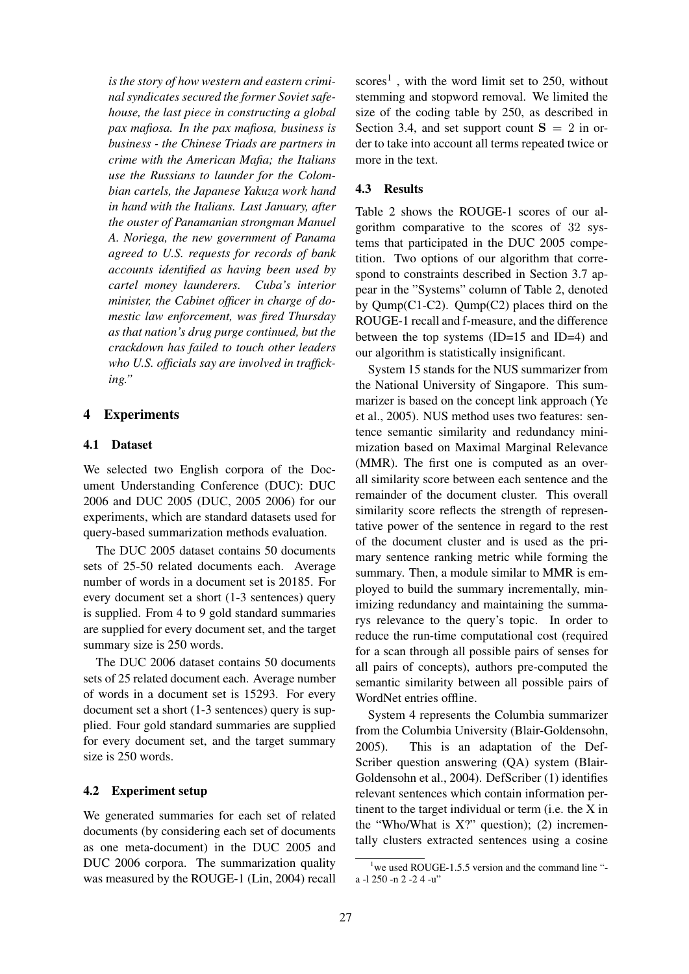*is the story of how western and eastern criminal syndicates secured the former Soviet safehouse, the last piece in constructing a global pax mafiosa. In the pax mafiosa, business is business - the Chinese Triads are partners in crime with the American Mafia; the Italians use the Russians to launder for the Colombian cartels, the Japanese Yakuza work hand in hand with the Italians. Last January, after the ouster of Panamanian strongman Manuel A. Noriega, the new government of Panama agreed to U.S. requests for records of bank accounts identified as having been used by cartel money launderers. Cuba's interior minister, the Cabinet officer in charge of domestic law enforcement, was fired Thursday as that nation's drug purge continued, but the crackdown has failed to touch other leaders who U.S. officials say are involved in trafficking."*

### 4 Experiments

#### 4.1 Dataset

We selected two English corpora of the Document Understanding Conference (DUC): DUC 2006 and DUC 2005 (DUC, 2005 2006) for our experiments, which are standard datasets used for query-based summarization methods evaluation.

The DUC 2005 dataset contains 50 documents sets of 25-50 related documents each. Average number of words in a document set is 20185. For every document set a short (1-3 sentences) query is supplied. From 4 to 9 gold standard summaries are supplied for every document set, and the target summary size is 250 words.

The DUC 2006 dataset contains 50 documents sets of 25 related document each. Average number of words in a document set is 15293. For every document set a short (1-3 sentences) query is supplied. Four gold standard summaries are supplied for every document set, and the target summary size is 250 words.

#### 4.2 Experiment setup

We generated summaries for each set of related documents (by considering each set of documents as one meta-document) in the DUC 2005 and DUC 2006 corpora. The summarization quality was measured by the ROUGE-1 (Lin, 2004) recall

 $\text{scores}^1$ , with the word limit set to 250, without stemming and stopword removal. We limited the size of the coding table by 250, as described in Section 3.4, and set support count  $S = 2$  in order to take into account all terms repeated twice or more in the text.

## 4.3 Results

Table 2 shows the ROUGE-1 scores of our algorithm comparative to the scores of 32 systems that participated in the DUC 2005 competition. Two options of our algorithm that correspond to constraints described in Section 3.7 appear in the "Systems" column of Table 2, denoted by Qump(C1-C2). Qump(C2) places third on the ROUGE-1 recall and f-measure, and the difference between the top systems (ID=15 and ID=4) and our algorithm is statistically insignificant.

System 15 stands for the NUS summarizer from the National University of Singapore. This summarizer is based on the concept link approach (Ye et al., 2005). NUS method uses two features: sentence semantic similarity and redundancy minimization based on Maximal Marginal Relevance (MMR). The first one is computed as an overall similarity score between each sentence and the remainder of the document cluster. This overall similarity score reflects the strength of representative power of the sentence in regard to the rest of the document cluster and is used as the primary sentence ranking metric while forming the summary. Then, a module similar to MMR is employed to build the summary incrementally, minimizing redundancy and maintaining the summarys relevance to the query's topic. In order to reduce the run-time computational cost (required for a scan through all possible pairs of senses for all pairs of concepts), authors pre-computed the semantic similarity between all possible pairs of WordNet entries offline.

System 4 represents the Columbia summarizer from the Columbia University (Blair-Goldensohn, 2005). This is an adaptation of the Def-Scriber question answering (QA) system (Blair-Goldensohn et al., 2004). DefScriber (1) identifies relevant sentences which contain information pertinent to the target individual or term (i.e. the X in the "Who/What is  $X$ ?" question); (2) incrementally clusters extracted sentences using a cosine

 $1$  we used ROUGE-1.5.5 version and the command line "a -l 250 -n 2 -2 4 -u"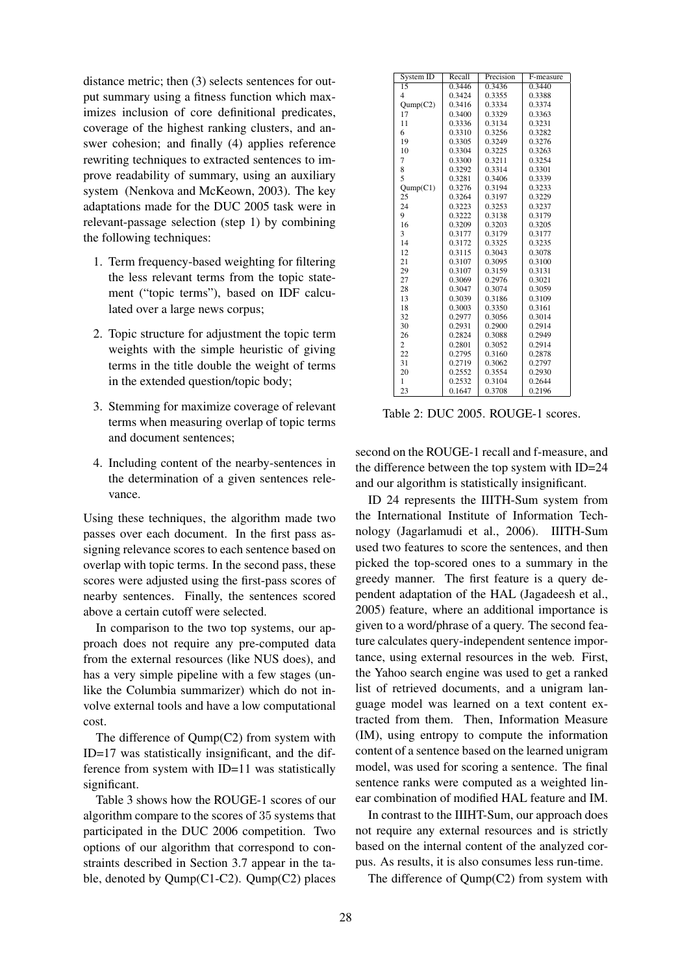distance metric; then (3) selects sentences for output summary using a fitness function which maximizes inclusion of core definitional predicates, coverage of the highest ranking clusters, and answer cohesion; and finally (4) applies reference rewriting techniques to extracted sentences to improve readability of summary, using an auxiliary system (Nenkova and McKeown, 2003). The key adaptations made for the DUC 2005 task were in relevant-passage selection (step 1) by combining the following techniques:

- 1. Term frequency-based weighting for filtering the less relevant terms from the topic statement ("topic terms"), based on IDF calculated over a large news corpus;
- 2. Topic structure for adjustment the topic term weights with the simple heuristic of giving terms in the title double the weight of terms in the extended question/topic body;
- 3. Stemming for maximize coverage of relevant terms when measuring overlap of topic terms and document sentences;
- 4. Including content of the nearby-sentences in the determination of a given sentences relevance.

Using these techniques, the algorithm made two passes over each document. In the first pass assigning relevance scores to each sentence based on overlap with topic terms. In the second pass, these scores were adjusted using the first-pass scores of nearby sentences. Finally, the sentences scored above a certain cutoff were selected.

In comparison to the two top systems, our approach does not require any pre-computed data from the external resources (like NUS does), and has a very simple pipeline with a few stages (unlike the Columbia summarizer) which do not involve external tools and have a low computational cost.

The difference of Qump(C2) from system with ID=17 was statistically insignificant, and the difference from system with ID=11 was statistically significant.

Table 3 shows how the ROUGE-1 scores of our algorithm compare to the scores of 35 systems that participated in the DUC 2006 competition. Two options of our algorithm that correspond to constraints described in Section 3.7 appear in the table, denoted by Qump(C1-C2). Qump(C2) places

| System ID       | Recall | Precision | F-measure |
|-----------------|--------|-----------|-----------|
| $\overline{15}$ | 0.3446 | 0.3436    | 0.3440    |
| 4               | 0.3424 | 0.3355    | 0.3388    |
| Qump(C2)        | 0.3416 | 0.3334    | 0.3374    |
| 17              | 0.3400 | 0.3329    | 0.3363    |
| 11              | 0.3336 | 0.3134    | 0.3231    |
| 6               | 0.3310 | 0.3256    | 0.3282    |
| 19              | 0.3305 | 0.3249    | 0.3276    |
| 10              | 0.3304 | 0.3225    | 0.3263    |
| 7               | 0.3300 | 0.3211    | 0.3254    |
| 8               | 0.3292 | 0.3314    | 0.3301    |
| 5               | 0.3281 | 0.3406    | 0.3339    |
| Qump(C1)        | 0.3276 | 0.3194    | 0.3233    |
| 25              | 0.3264 | 0.3197    | 0.3229    |
| 24              | 0.3223 | 0.3253    | 0.3237    |
| 9               | 0.3222 | 0.3138    | 0.3179    |
| 16              | 0.3209 | 0.3203    | 0.3205    |
| 3               | 0.3177 | 0.3179    | 0.3177    |
| 14              | 0.3172 | 0.3325    | 0.3235    |
| 12              | 0.3115 | 0.3043    | 0.3078    |
| 21              | 0.3107 | 0.3095    | 0.3100    |
| 29              | 0.3107 | 0.3159    | 0.3131    |
| 27              | 0.3069 | 0.2976    | 0.3021    |
| 28              | 0.3047 | 0.3074    | 0.3059    |
| 13              | 0.3039 | 0.3186    | 0.3109    |
| 18              | 0.3003 | 0.3350    | 0.3161    |
| 32              | 0.2977 | 0.3056    | 0.3014    |
| 30              | 0.2931 | 0.2900    | 0.2914    |
| 26              | 0.2824 | 0.3088    | 0.2949    |
| $\overline{c}$  | 0.2801 | 0.3052    | 0.2914    |
| 22              | 0.2795 | 0.3160    | 0.2878    |
| 31              | 0.2719 | 0.3062    | 0.2797    |
| 20              | 0.2552 | 0.3554    | 0.2930    |
| 1               | 0.2532 | 0.3104    | 0.2644    |
| 23              | 0.1647 | 0.3708    | 0.2196    |

Table 2: DUC 2005. ROUGE-1 scores.

second on the ROUGE-1 recall and f-measure, and the difference between the top system with ID=24 and our algorithm is statistically insignificant.

ID 24 represents the IIITH-Sum system from the International Institute of Information Technology (Jagarlamudi et al., 2006). IIITH-Sum used two features to score the sentences, and then picked the top-scored ones to a summary in the greedy manner. The first feature is a query dependent adaptation of the HAL (Jagadeesh et al., 2005) feature, where an additional importance is given to a word/phrase of a query. The second feature calculates query-independent sentence importance, using external resources in the web. First, the Yahoo search engine was used to get a ranked list of retrieved documents, and a unigram language model was learned on a text content extracted from them. Then, Information Measure (IM), using entropy to compute the information content of a sentence based on the learned unigram model, was used for scoring a sentence. The final sentence ranks were computed as a weighted linear combination of modified HAL feature and IM.

In contrast to the IIIHT-Sum, our approach does not require any external resources and is strictly based on the internal content of the analyzed corpus. As results, it is also consumes less run-time.

The difference of Qump(C2) from system with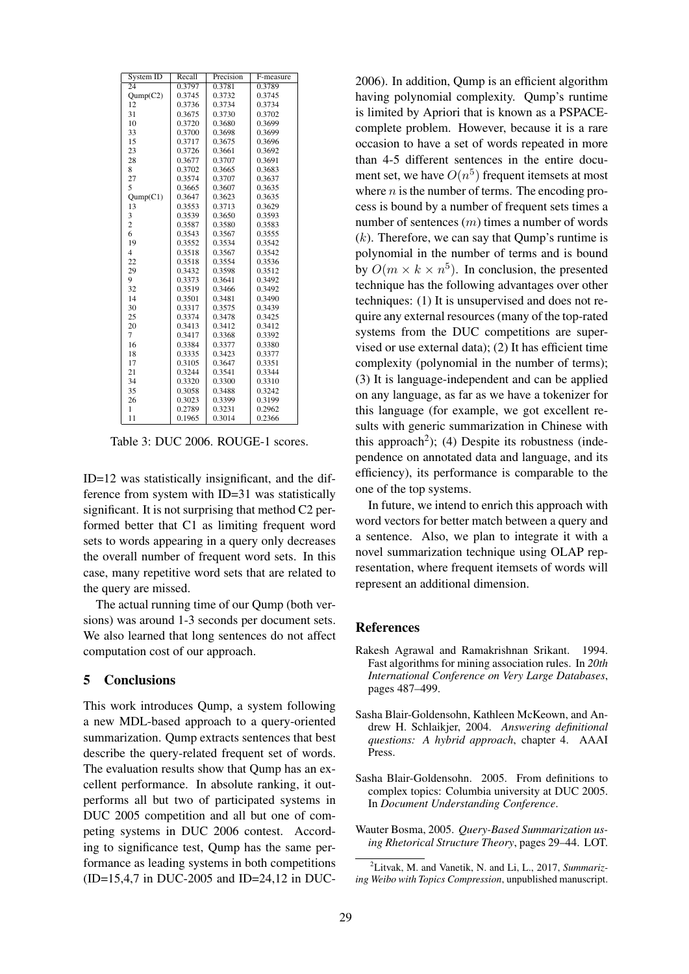| System $\overline{ID}$ | Recall | Precision | F-measure |
|------------------------|--------|-----------|-----------|
| 24                     | 0.3797 | 0.3781    | 0.3789    |
| Qump(C2)               | 0.3745 | 0.3732    | 0.3745    |
| 12                     | 0.3736 | 0.3734    | 0.3734    |
| 31                     | 0.3675 | 0.3730    | 0.3702    |
| 10                     | 0.3720 | 0.3680    | 0.3699    |
| 33                     | 0.3700 | 0.3698    | 0.3699    |
| 15                     | 0.3717 | 0.3675    | 0.3696    |
| 23                     | 0.3726 | 0.3661    | 0.3692    |
| 28                     | 0.3677 | 0.3707    | 0.3691    |
| 8                      | 0.3702 | 0.3665    | 0.3683    |
| 27                     | 0.3574 | 0.3707    | 0.3637    |
| 5                      | 0.3665 | 0.3607    | 0.3635    |
| Qump(C1)               | 0.3647 | 0.3623    | 0.3635    |
| 13                     | 0.3553 | 0.3713    | 0.3629    |
| 3                      | 0.3539 | 0.3650    | 0.3593    |
| $\overline{c}$         | 0.3587 | 0.3580    | 0.3583    |
| 6                      | 0.3543 | 0.3567    | 0.3555    |
| 19                     | 0.3552 | 0.3534    | 0.3542    |
| $\overline{4}$         | 0.3518 | 0.3567    | 0.3542    |
| 22                     | 0.3518 | 0.3554    | 0.3536    |
| 29                     | 0.3432 | 0.3598    | 0.3512    |
| 9                      | 0.3373 | 0.3641    | 0.3492    |
| 32                     | 0.3519 | 0.3466    | 0.3492    |
| 14                     | 0.3501 | 0.3481    | 0.3490    |
| 30                     | 0.3317 | 0.3575    | 0.3439    |
| 25                     | 0.3374 | 0.3478    | 0.3425    |
| 20                     | 0.3413 | 0.3412    | 0.3412    |
| 7                      | 0.3417 | 0.3368    | 0.3392    |
| 16                     | 0.3384 | 0.3377    | 0.3380    |
| 18                     | 0.3335 | 0.3423    | 0.3377    |
| 17                     | 0.3105 | 0.3647    | 0.3351    |
| 21                     | 0.3244 | 0.3541    | 0.3344    |
| 34                     | 0.3320 | 0.3300    | 0.3310    |
| 35                     | 0.3058 | 0.3488    | 0.3242    |
| 26                     | 0.3023 | 0.3399    | 0.3199    |
| 1                      | 0.2789 | 0.3231    | 0.2962    |
| 11                     | 0.1965 | 0.3014    | 0.2366    |

Table 3: DUC 2006. ROUGE-1 scores.

ID=12 was statistically insignificant, and the difference from system with ID=31 was statistically significant. It is not surprising that method C2 performed better that C1 as limiting frequent word sets to words appearing in a query only decreases the overall number of frequent word sets. In this case, many repetitive word sets that are related to the query are missed.

The actual running time of our Qump (both versions) was around 1-3 seconds per document sets. We also learned that long sentences do not affect computation cost of our approach.

## 5 Conclusions

This work introduces Qump, a system following a new MDL-based approach to a query-oriented summarization. Qump extracts sentences that best describe the query-related frequent set of words. The evaluation results show that Qump has an excellent performance. In absolute ranking, it outperforms all but two of participated systems in DUC 2005 competition and all but one of competing systems in DUC 2006 contest. According to significance test, Qump has the same performance as leading systems in both competitions (ID=15,4,7 in DUC-2005 and ID=24,12 in DUC-

2006). In addition, Qump is an efficient algorithm having polynomial complexity. Qump's runtime is limited by Apriori that is known as a PSPACEcomplete problem. However, because it is a rare occasion to have a set of words repeated in more than 4-5 different sentences in the entire document set, we have  $O(n^5)$  frequent itemsets at most where  $n$  is the number of terms. The encoding process is bound by a number of frequent sets times a number of sentences  $(m)$  times a number of words  $(k)$ . Therefore, we can say that Qump's runtime is polynomial in the number of terms and is bound by  $O(m \times k \times n^5)$ . In conclusion, the presented technique has the following advantages over other techniques: (1) It is unsupervised and does not require any external resources (many of the top-rated systems from the DUC competitions are supervised or use external data); (2) It has efficient time complexity (polynomial in the number of terms); (3) It is language-independent and can be applied on any language, as far as we have a tokenizer for this language (for example, we got excellent results with generic summarization in Chinese with this approach<sup>2</sup>); (4) Despite its robustness (independence on annotated data and language, and its efficiency), its performance is comparable to the one of the top systems.

In future, we intend to enrich this approach with word vectors for better match between a query and a sentence. Also, we plan to integrate it with a novel summarization technique using OLAP representation, where frequent itemsets of words will represent an additional dimension.

## References

- Rakesh Agrawal and Ramakrishnan Srikant. 1994. Fast algorithms for mining association rules. In *20th International Conference on Very Large Databases*, pages 487–499.
- Sasha Blair-Goldensohn, Kathleen McKeown, and Andrew H. Schlaikjer, 2004. *Answering definitional questions: A hybrid approach*, chapter 4. AAAI Press.
- Sasha Blair-Goldensohn. 2005. From definitions to complex topics: Columbia university at DUC 2005. In *Document Understanding Conference*.
- Wauter Bosma, 2005. *Query-Based Summarization using Rhetorical Structure Theory*, pages 29–44. LOT.

<sup>2</sup>Litvak, M. and Vanetik, N. and Li, L., 2017, *Summarizing Weibo with Topics Compression*, unpublished manuscript.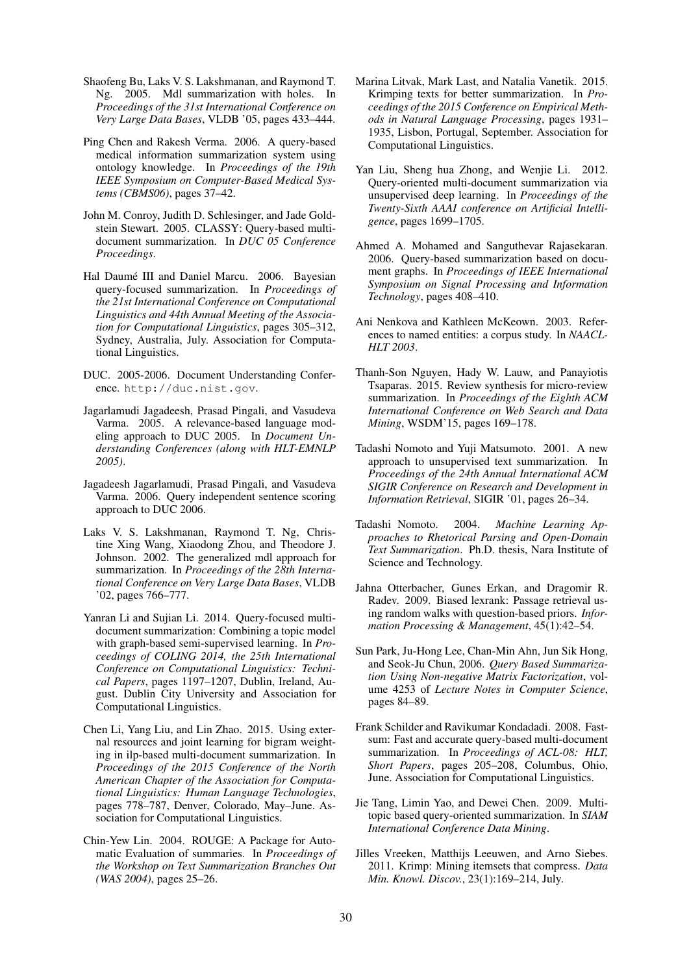- Shaofeng Bu, Laks V. S. Lakshmanan, and Raymond T. Ng. 2005. Mdl summarization with holes. In *Proceedings of the 31st International Conference on Very Large Data Bases*, VLDB '05, pages 433–444.
- Ping Chen and Rakesh Verma. 2006. A query-based medical information summarization system using ontology knowledge. In *Proceedings of the 19th IEEE Symposium on Computer-Based Medical Systems (CBMS06)*, pages 37–42.
- John M. Conroy, Judith D. Schlesinger, and Jade Goldstein Stewart. 2005. CLASSY: Query-based multidocument summarization. In *DUC 05 Conference Proceedings*.
- Hal Daumé III and Daniel Marcu. 2006. Bayesian query-focused summarization. In *Proceedings of the 21st International Conference on Computational Linguistics and 44th Annual Meeting of the Association for Computational Linguistics*, pages 305–312, Sydney, Australia, July. Association for Computational Linguistics.
- DUC. 2005-2006. Document Understanding Conference. http://duc.nist.gov.
- Jagarlamudi Jagadeesh, Prasad Pingali, and Vasudeva Varma. 2005. A relevance-based language modeling approach to DUC 2005. In *Document Understanding Conferences (along with HLT-EMNLP 2005)*.
- Jagadeesh Jagarlamudi, Prasad Pingali, and Vasudeva Varma. 2006. Query independent sentence scoring approach to DUC 2006.
- Laks V. S. Lakshmanan, Raymond T. Ng, Christine Xing Wang, Xiaodong Zhou, and Theodore J. Johnson. 2002. The generalized mdl approach for summarization. In *Proceedings of the 28th International Conference on Very Large Data Bases*, VLDB '02, pages 766–777.
- Yanran Li and Sujian Li. 2014. Query-focused multidocument summarization: Combining a topic model with graph-based semi-supervised learning. In *Proceedings of COLING 2014, the 25th International Conference on Computational Linguistics: Technical Papers*, pages 1197–1207, Dublin, Ireland, August. Dublin City University and Association for Computational Linguistics.
- Chen Li, Yang Liu, and Lin Zhao. 2015. Using external resources and joint learning for bigram weighting in ilp-based multi-document summarization. In *Proceedings of the 2015 Conference of the North American Chapter of the Association for Computational Linguistics: Human Language Technologies*, pages 778–787, Denver, Colorado, May–June. Association for Computational Linguistics.
- Chin-Yew Lin. 2004. ROUGE: A Package for Automatic Evaluation of summaries. In *Proceedings of the Workshop on Text Summarization Branches Out (WAS 2004)*, pages 25–26.
- Marina Litvak, Mark Last, and Natalia Vanetik. 2015. Krimping texts for better summarization. In *Proceedings of the 2015 Conference on Empirical Methods in Natural Language Processing*, pages 1931– 1935, Lisbon, Portugal, September. Association for Computational Linguistics.
- Yan Liu, Sheng hua Zhong, and Wenjie Li. 2012. Query-oriented multi-document summarization via unsupervised deep learning. In *Proceedings of the Twenty-Sixth AAAI conference on Artificial Intelligence*, pages 1699–1705.
- Ahmed A. Mohamed and Sanguthevar Rajasekaran. 2006. Query-based summarization based on document graphs. In *Proceedings of IEEE International Symposium on Signal Processing and Information Technology*, pages 408–410.
- Ani Nenkova and Kathleen McKeown. 2003. References to named entities: a corpus study. In *NAACL-HLT 2003*.
- Thanh-Son Nguyen, Hady W. Lauw, and Panayiotis Tsaparas. 2015. Review synthesis for micro-review summarization. In *Proceedings of the Eighth ACM International Conference on Web Search and Data Mining*, WSDM'15, pages 169–178.
- Tadashi Nomoto and Yuji Matsumoto. 2001. A new approach to unsupervised text summarization. In *Proceedings of the 24th Annual International ACM SIGIR Conference on Research and Development in Information Retrieval*, SIGIR '01, pages 26–34.
- Tadashi Nomoto. 2004. *Machine Learning Approaches to Rhetorical Parsing and Open-Domain Text Summarization*. Ph.D. thesis, Nara Institute of Science and Technology.
- Jahna Otterbacher, Gunes Erkan, and Dragomir R. Radev. 2009. Biased lexrank: Passage retrieval using random walks with question-based priors. *Information Processing & Management*, 45(1):42–54.
- Sun Park, Ju-Hong Lee, Chan-Min Ahn, Jun Sik Hong, and Seok-Ju Chun, 2006. *Query Based Summarization Using Non-negative Matrix Factorization*, volume 4253 of *Lecture Notes in Computer Science*, pages 84–89.
- Frank Schilder and Ravikumar Kondadadi. 2008. Fastsum: Fast and accurate query-based multi-document summarization. In *Proceedings of ACL-08: HLT, Short Papers*, pages 205–208, Columbus, Ohio, June. Association for Computational Linguistics.
- Jie Tang, Limin Yao, and Dewei Chen. 2009. Multitopic based query-oriented summarization. In *SIAM International Conference Data Mining*.
- Jilles Vreeken, Matthijs Leeuwen, and Arno Siebes. 2011. Krimp: Mining itemsets that compress. *Data Min. Knowl. Discov.*, 23(1):169–214, July.